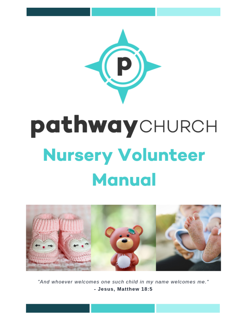

# pathwaychurch **Nursery Volunteer Manual**



"And whoever welcomes one such child in my name welcomes me." - Jesus, Matthew 18:5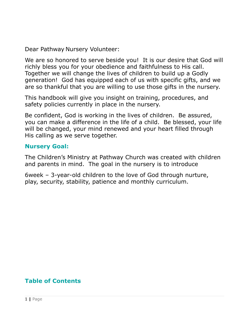Dear Pathway Nursery Volunteer:

We are so honored to serve beside you! It is our desire that God will richly bless you for your obedience and faithfulness to His call. Together we will change the lives of children to build up a Godly generation! God has equipped each of us with specific gifts, and we are so thankful that you are willing to use those gifts in the nursery.

This handbook will give you insight on training, procedures, and safety policies currently in place in the nursery.

Be confident, God is working in the lives of children. Be assured, you can make a difference in the life of a child. Be blessed, your life will be changed, your mind renewed and your heart filled through His calling as we serve together.

#### **Nursery Goal:**

The Children's Ministry at Pathway Church was created with children and parents in mind. The goal in the nursery is to introduce

6week – 3-year-old children to the love of God through nurture, play, security, stability, patience and monthly curriculum.

# **Table of Contents**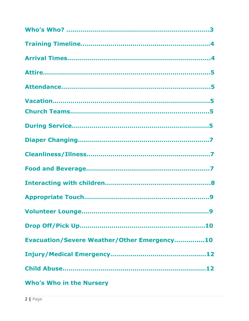| <b>Evacuation/Severe Weather/Other Emergency10</b>                                                             |
|----------------------------------------------------------------------------------------------------------------|
|                                                                                                                |
|                                                                                                                |
| Who's Who in the Nursery and the Sense of the Sense of the Sense of the Sense of the Sense of the Sense of the |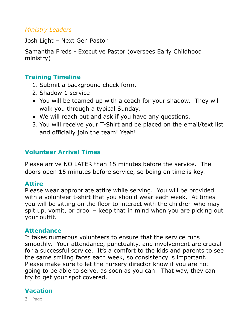#### *Ministry Leaders*

Josh Light – Next Gen Pastor

Samantha Freds - Executive Pastor (oversees Early Childhood ministry)

# **Training Timeline**

- 1. Submit a background check form.
- 2. Shadow 1 service
- You will be teamed up with a coach for your shadow. They will walk you through a typical Sunday.
- We will reach out and ask if you have any questions.
- 3. You will receive your T-Shirt and be placed on the email/text list and officially join the team! Yeah!

# **Volunteer Arrival Times**

Please arrive NO LATER than 15 minutes before the service. The doors open 15 minutes before service, so being on time is key.

#### **Attire**

Please wear appropriate attire while serving. You will be provided with a volunteer t-shirt that you should wear each week. At times you will be sitting on the floor to interact with the children who may spit up, vomit, or drool – keep that in mind when you are picking out your outfit.

#### **Attendance**

It takes numerous volunteers to ensure that the service runs smoothly. Your attendance, punctuality, and involvement are crucial for a successful service. It's a comfort to the kids and parents to see the same smiling faces each week, so consistency is important. Please make sure to let the nursery director know if you are not going to be able to serve, as soon as you can. That way, they can try to get your spot covered.

# **Vacation**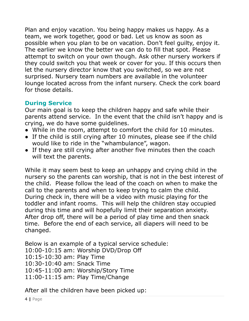Plan and enjoy vacation. You being happy makes us happy. As a team, we work together, good or bad. Let us know as soon as possible when you plan to be on vacation. Don't feel guilty, enjoy it. The earlier we know the better we can do to fill that spot. Please attempt to switch on your own though. Ask other nursery workers if they could switch you that week or cover for you. If this occurs then let the nursery director know that you switched, so we are not surprised. Nursery team numbers are available in the volunteer lounge located across from the infant nursery. Check the cork board for those details.

# **During Service**

Our main goal is to keep the children happy and safe while their parents attend service. In the event that the child isn't happy and is crying, we do have some guidelines.

- While in the room, attempt to comfort the child for 10 minutes.
- If the child is still crying after 10 minutes, please see if the child would like to ride in the "whambulance", wagon.
- If they are still crying after another five minutes then the coach will text the parents.

While it may seem best to keep an unhappy and crying child in the nursery so the parents can worship, that is not in the best interest of the child. Please follow the lead of the coach on when to make the call to the parents and when to keep trying to calm the child. During check in, there will be a video with music playing for the toddler and infant rooms. This will help the children stay occupied during this time and will hopefully limit their separation anxiety. After drop off, there will be a period of play time and then snack time. Before the end of each service, all diapers will need to be changed.

Below is an example of a typical service schedule: 10:00-10:15 am: Worship DVD/Drop Off 10:15-10:30 am: Play Time 10:30-10:40 am: Snack Time 10:45-11:00 am: Worship/Story Time 11:00-11:15 am: Play Time/Change

After all the children have been picked up: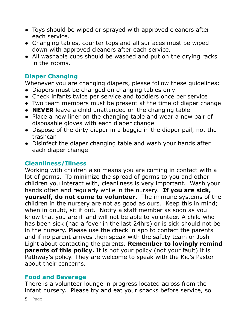- Toys should be wiped or sprayed with approved cleaners after each service.
- Changing tables, counter tops and all surfaces must be wiped down with approved cleaners after each service.
- All washable cups should be washed and put on the drying racks in the rooms.

# **Diaper Changing**

Whenever you are changing diapers, please follow these guidelines:

- Diapers must be changed on changing tables only
- Check infants twice per service and toddlers once per service
- Two team members must be present at the time of diaper change
- **NEVER** leave a child unattended on the changing table
- Place a new liner on the changing table and wear a new pair of disposable gloves with each diaper change
- Dispose of the dirty diaper in a baggie in the diaper pail, not the trashcan
- Disinfect the diaper changing table and wash your hands after each diaper change

# **Cleanliness/Illness**

Working with children also means you are coming in contact with a lot of germs. To minimize the spread of germs to you and other children you interact with, cleanliness is very important. Wash your hands often and regularly while in the nursery. **If you are sick, yourself, do not come to volunteer.** The immune systems of the children in the nursery are not as good as ours. Keep this in mind; when in doubt, sit it out. Notify a staff member as soon as you know that you are ill and will not be able to volunteer. A child who has been sick (had a fever in the last 24hrs) or is sick should not be in the nursery. Please use the check in app to contact the parents and if no parent arrives then speak with the safety team or Josh Light about contacting the parents. **Remember to lovingly remind parents of this policy.** It is not your policy (not your fault) it is Pathway's policy. They are welcome to speak with the Kid's Pastor about their concerns.

# **Food and Beverage**

There is a volunteer lounge in progress located across from the infant nursery. Please try and eat your snacks before service, so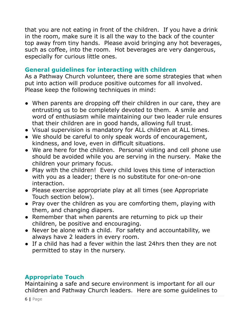that you are not eating in front of the children. If you have a drink in the room, make sure it is all the way to the back of the counter top away from tiny hands. Please avoid bringing any hot beverages, such as coffee, into the room. Hot beverages are very dangerous, especially for curious little ones.

# **General guidelines for interacting with children**

As a Pathway Church volunteer, there are some strategies that when put into action will produce positive outcomes for all involved. Please keep the following techniques in mind:

- When parents are dropping off their children in our care, they are entrusting us to be completely devoted to them. A smile and word of enthusiasm while maintaining our two leader rule ensures that their children are in good hands, allowing full trust.
- Visual supervision is mandatory for ALL children at ALL times.
- We should be careful to only speak words of encouragement, kindness, and love, even in difficult situations.
- We are here for the children. Personal visiting and cell phone use should be avoided while you are serving in the nursery. Make the children your primary focus.
- Play with the children! Every child loves this time of interaction with you as a leader; there is no substitute for one-on-one interaction.
- Please exercise appropriate play at all times (see Appropriate Touch section below).
- Pray over the children as you are comforting them, playing with them, and changing diapers.
- Remember that when parents are returning to pick up their children, be positive and encouraging.
- Never be alone with a child. For safety and accountability, we always have 2 leaders in every room.
- If a child has had a fever within the last 24hrs then they are not permitted to stay in the nursery.

# **Appropriate Touch**

Maintaining a safe and secure environment is important for all our children and Pathway Church leaders. Here are some guidelines to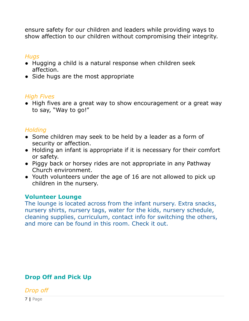ensure safety for our children and leaders while providing ways to show affection to our children without compromising their integrity.

#### *Hugs*

- Hugging a child is a natural response when children seek affection.
- Side hugs are the most appropriate

## *High Fives*

• High fives are a great way to show encouragement or a great way to say, "Way to go!"

#### *Holding*

- Some children may seek to be held by a leader as a form of security or affection.
- Holding an infant is appropriate if it is necessary for their comfort or safety.
- Piggy back or horsey rides are not appropriate in any Pathway Church environment.
- Youth volunteers under the age of 16 are not allowed to pick up children in the nursery.

#### **Volunteer Lounge**

The lounge is located across from the infant nursery. Extra snacks, nursery shirts, nursery tags, water for the kids, nursery schedule, cleaning supplies, curriculum, contact info for switching the others, and more can be found in this room. Check it out.

# **Drop Off and Pick Up**

*Drop off*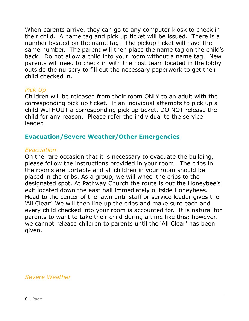When parents arrive, they can go to any computer kiosk to check in their child. A name tag and pick up ticket will be issued. There is a number located on the name tag. The pickup ticket will have the same number. The parent will then place the name tag on the child's back. Do not allow a child into your room without a name tag. New parents will need to check in with the host team located in the lobby outside the nursery to fill out the necessary paperwork to get their child checked in.

#### *Pick Up*

Children will be released from their room ONLY to an adult with the corresponding pick up ticket. If an individual attempts to pick up a child WITHOUT a corresponding pick up ticket, DO NOT release the child for any reason. Please refer the individual to the service leader.

## **Evacuation/Severe Weather/Other Emergencies**

#### *Evacuation*

On the rare occasion that it is necessary to evacuate the building, please follow the instructions provided in your room. The cribs in the rooms are portable and all children in your room should be placed in the cribs. As a group, we will wheel the cribs to the designated spot. At Pathway Church the route is out the Honeybee's exit located down the east hall immediately outside Honeybees. Head to the center of the lawn until staff or service leader gives the 'All Clear'. We will then line up the cribs and make sure each and every child checked into your room is accounted for. It is natural for parents to want to take their child during a time like this; however, we cannot release children to parents until the 'All Clear' has been given.

# *Severe Weather*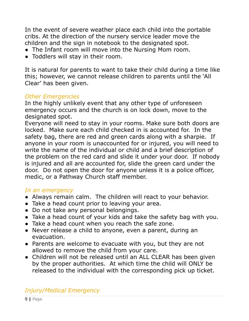In the event of severe weather place each child into the portable cribs. At the direction of the nursery service leader move the children and the sign in notebook to the designated spot.

- The Infant room will move into the Nursing Mom room.
- Toddlers will stay in their room.

It is natural for parents to want to take their child during a time like this; however, we cannot release children to parents until the 'All Clear' has been given.

#### *Other Emergencies*

In the highly unlikely event that any other type of unforeseen emergency occurs and the church is on lock down, move to the designated spot.

Everyone will need to stay in your rooms. Make sure both doors are locked. Make sure each child checked in is accounted for. In the safety bag, there are red and green cards along with a sharpie. If anyone in your room is unaccounted for or injured, you will need to write the name of the individual or child and a brief description of the problem on the red card and slide it under your door. If nobody is injured and all are accounted for, slide the green card under the door. Do not open the door for anyone unless it is a police officer, medic, or a Pathway Church staff member.

#### *In an emergency*

- Always remain calm. The children will react to your behavior.
- Take a head count prior to leaving your area.
- Do not take any personal belongings.
- Take a head count of your kids and take the safety bag with you.
- Take a head count when you reach the safe zone.
- Never release a child to anyone, even a parent, during an evacuation.
- Parents are welcome to evacuate with you, but they are not allowed to remove the child from your care.
- Children will not be released until an ALL CLEAR has been given by the proper authorities. At which time the child will ONLY be released to the individual with the corresponding pick up ticket.

# *Injury/Medical Emergency*